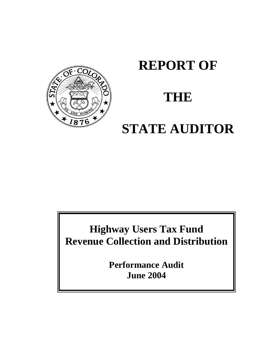

# **REPORT OF**

# **THE**

# **STATE AUDITOR**

**Highway Users Tax Fund Revenue Collection and Distribution**

> **Performance Audit June 2004**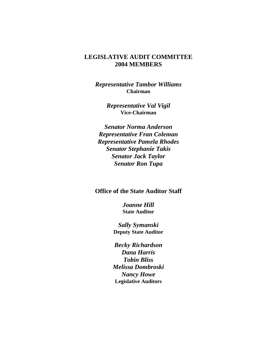#### **LEGISLATIVE AUDIT COMMITTEE 2004 MEMBERS**

*Representative Tambor Williams* **Chairman**

> *Representative Val Vigil* **Vice-Chairman**

*Senator Norma Anderson Representative Fran Coleman Representative Pamela Rhodes Senator Stephanie Takis Senator Jack Taylor Senator Ron Tupa*

#### **Office of the State Auditor Staff**

*Joanne Hill* **State Auditor**

*Sally Symanski* **Deputy State Auditor**

*Becky Richardson Dana Harris Tobin Bliss Melissa Dombroski Nancy Howe* **Legislative Auditors**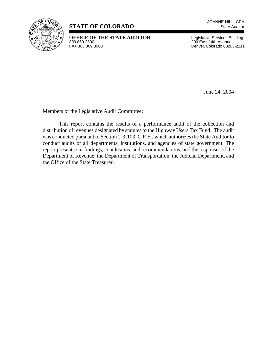

### **STATE OF COLORADO** State Auditor

**OFFICE OF THE STATE AUDITOR** Legislative Services Building<br>303.869.2800<br>200 East 14th Avenue 303.869.2800 200 East 14th Avenue

Denver, Colorado 80203-2211

June 24, 2004

Members of the Legislative Audit Committee:

This report contains the results of a performance audit of the collection and distribution of revenues designated by statutes to the Highway Users Tax Fund. The audit was conducted pursuant to Section 2-3-103, C.R.S., which authorizes the State Auditor to conduct audits of all departments, institutions, and agencies of state government. The report presents our findings, conclusions, and recommendations, and the responses of the Department of Revenue, the Department of Transportation, the Judicial Department, and the Office of the State Treasurer.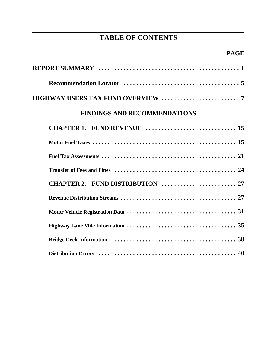# **TABLE OF CONTENTS**

## **PAGE**

| <b>FINDINGS AND RECOMMENDATIONS</b> |
|-------------------------------------|
|                                     |
|                                     |
|                                     |
|                                     |
| CHAPTER 2. FUND DISTRIBUTION  27    |
|                                     |
|                                     |
|                                     |
|                                     |
|                                     |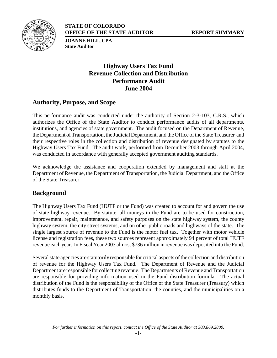



**STATE OF COLORADO OFFICE OF THE STATE AUDITOR REPORT SUMMARY**

**JOANNE HILL, CPA State Auditor**

## **Highway Users Tax Fund Revenue Collection and Distribution Performance Audit June 2004**

#### **Authority, Purpose, and Scope**

This performance audit was conducted under the authority of Section 2-3-103, C.R.S., which authorizes the Office of the State Auditor to conduct performance audits of all departments, institutions, and agencies of state government. The audit focused on the Department of Revenue, the Department of Transportation, the Judicial Department, and the Office of the State Treasurer and their respective roles in the collection and distribution of revenue designated by statutes to the Highway Users Tax Fund. The audit work, performed from December 2003 through April 2004, was conducted in accordance with generally accepted government auditing standards.

We acknowledge the assistance and cooperation extended by management and staff at the Department of Revenue, the Department of Transportation, the Judicial Department, and the Office of the State Treasurer.

#### **Background**

The Highway Users Tax Fund (HUTF or the Fund) was created to account for and govern the use of state highway revenue. By statute, all moneys in the Fund are to be used for construction, improvement, repair, maintenance, and safety purposes on the state highway system, the county highway system, the city street systems, and on other public roads and highways of the state. The single largest source of revenue to the Fund is the motor fuel tax. Together with motor vehicle license and registration fees, these two sources represent approximately 94 percent of total HUTF revenue each year. In Fiscal Year 2003 almost \$736 million in revenue was deposited into the Fund.

Several state agencies are statutorily responsible for critical aspects of the collection and distribution of revenue for the Highway Users Tax Fund. The Department of Revenue and the Judicial Department are responsible for collecting revenue. The Departments of Revenue and Transportation are responsible for providing information used in the Fund distribution formula. The actual distribution of the Fund is the responsibility of the Office of the State Treasurer (Treasury) which distributes funds to the Department of Transportation, the counties, and the municipalities on a monthly basis.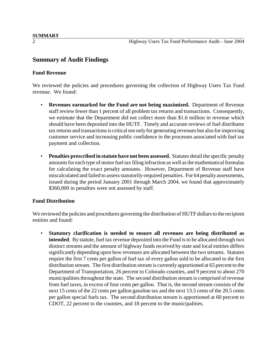#### **Summary of Audit Findings**

#### **Fund Revenue**

We reviewed the policies and procedures governing the collection of Highway Users Tax Fund revenue. We found:

- **Revenues earmarked for the Fund are not being maximized.** Department of Revenue staff review fewer than 1 percent of all problem tax returns and transactions. Consequently, we estimate that the Department did not collect more than \$1.6 million in revenue which should have been deposited into the HUTF. Timely and accurate reviews of fuel distributor tax returns and transactions is critical not only for generating revenues but also for improving customer service and increasing public confidence in the processes associated with fuel tax payment and collection.
- **Penalties prescribed in statute have not been assessed.** Statutes detail the specific penalty amounts for each type of motor fuel tax filing infraction as well as the mathematical formulas for calculating the exact penalty amounts. However, Department of Revenue staff have miscalculated and failed to assess statutorily-required penalties. For 64 penalty assessments, issued during the period January 2001 through March 2004, we found that approximately \$360,000 in penalties were not assessed by staff.

#### **Fund Distribution**

We reviewed the policies and procedures governing the distribution of HUTF dollars to the recipient entities and found:

• **Statutory clarification is needed to ensure all revenues are being distributed as intended**. By statute, fuel tax revenue deposited into the Fund is to be allocated through two distinct streams and the amount of highway funds received by state and local entities differs significantly depending upon how revenues are allocated between the two streams. Statutes require the first 7 cents per gallon of fuel tax of every gallon sold to be allocated to the first distribution stream. The first distribution stream is currently apportioned at 65 percent to the Department of Transportation, 26 percent to Colorado counties, and 9 percent to about 270 municipalities throughout the state. The second distribution stream is comprised of revenue from fuel taxes, in excess of four cents per gallon. That is, the second stream consists of the next 15 cents of the 22 cents per gallon gasoline tax and the next 13.5 cents of the 20.5 cents per gallon special fuels tax. The second distribution stream is apportioned at 60 percent to CDOT, 22 percent to the counties, and 18 percent to the municipalities.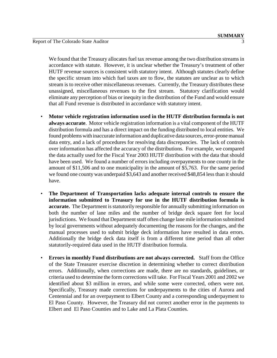We found that the Treasury allocates fuel tax revenue among the two distribution streams in accordance with statute. However, it is unclear whether the Treasury's treatment of other HUTF revenue sources is consistent with statutory intent. Although statutes clearly define the specific stream into which fuel taxes are to flow, the statutes are unclear as to which stream is to receive other miscellaneous revenues. Currently, the Treasury distributes these unassigned, miscellaneous revenues to the first stream. Statutory clarification would eliminate any perception of bias or inequity in the distribution of the Fund and would ensure that all Fund revenue is distributed in accordance with statutory intent.

- **Motor vehicle registration information used in the HUTF distribution formula is not always accurate**. Motor vehicle registration information is a vital component of the HUTF distribution formula and has a direct impact on the funding distributed to local entities. We found problems with inaccurate information and duplicative data sources, error-prone manual data entry, and a lack of procedures for resolving data discrepancies. The lack of controls over information has affected the accuracy of the distributions. For example, we compared the data actually used for the Fiscal Year 2003 HUTF distribution with the data that should have been used. We found a number of errors including overpayments to one county in the amount of \$11,506 and to one municipality in the amount of \$5,763. For the same period we found one county was underpaid \$3,643 and another received \$48,854 less than it should have.
- **The Department of Transportation lacks adequate internal controls to ensure the information submitted to Treasury for use in the HUTF distribution formula is accurate.** The Department is statutorily responsible for annually submitting information on both the number of lane miles and the number of bridge deck square feet for local jurisdictions. We found that Department staff often change lane mile information submitted by local governments without adequately documenting the reasons for the changes, and the manual processes used to submit bridge deck information have resulted in data errors. Additionally the bridge deck data itself is from a different time period than all other statutorily-required data used in the HUTF distribution formula.
- **Errors in monthly Fund distributions are not always corrected.** Staff from the Office of the State Treasurer exercise discretion in determining whether to correct distribution errors. Additionally, when corrections are made, there are no standards, guidelines, or criteria used to determine the form corrections will take. For Fiscal Years 2001 and 2002 we identified about \$3 million in errors, and while some were corrected, others were not. Specifically, Treasury made corrections for underpayments to the cities of Aurora and Centennial and for an overpayment to Elbert County and a corresponding underpayment to El Paso County. However, the Treasury did not correct another error in the payments to Elbert and El Paso Counties and to Lake and La Plata Counties.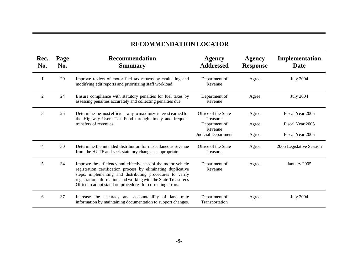## **RECOMMENDATION LOCATOR**

| Rec.<br>No. | Page<br>No. | <b>Recommendation</b><br><b>Summary</b>                                                                                                                                                                                                                                                                                       | <b>Agency</b><br><b>Addressed</b>       | <b>Agency</b><br><b>Response</b> | Implementation<br>Date   |
|-------------|-------------|-------------------------------------------------------------------------------------------------------------------------------------------------------------------------------------------------------------------------------------------------------------------------------------------------------------------------------|-----------------------------------------|----------------------------------|--------------------------|
| 1           | 20          | Improve review of motor fuel tax returns by evaluating and<br>modifying edit reports and prioritizing staff workload.                                                                                                                                                                                                         | Department of<br>Revenue                | Agree                            | <b>July 2004</b>         |
| 2           | 24          | Ensure compliance with statutory penalties for fuel taxes by<br>assessing penalties accurately and collecting penalties due.                                                                                                                                                                                                  | Department of<br>Revenue                | Agree                            | <b>July 2004</b>         |
| 3           | 25          | Determine the most efficient way to maximize interest earned for<br>the Highway Users Tax Fund through timely and frequent                                                                                                                                                                                                    | Office of the State<br><b>Treasurer</b> | Agree                            | Fiscal Year 2005         |
|             |             | transfers of revenues.                                                                                                                                                                                                                                                                                                        | Department of<br>Revenue                | Agree                            | Fiscal Year 2005         |
|             |             |                                                                                                                                                                                                                                                                                                                               | Judicial Department                     | Agree                            | Fiscal Year 2005         |
| 4           | 30          | Determine the intended distribution for miscellaneous revenue<br>from the HUTF and seek statutory change as appropriate.                                                                                                                                                                                                      | Office of the State<br>Treasurer        | Agree                            | 2005 Legislative Session |
| 5           | 34          | Improve the efficiency and effectiveness of the motor vehicle<br>registration certification process by eliminating duplicative<br>steps, implementing and distributing procedures to verify<br>registration information, and working with the State Treasurer's<br>Office to adopt standard procedures for correcting errors. | Department of<br>Revenue                | Agree                            | January 2005             |
| 6           | 37          | Increase the accuracy and accountability of lane mile<br>information by maintaining documentation to support changes.                                                                                                                                                                                                         | Department of<br>Transportation         | Agree                            | <b>July 2004</b>         |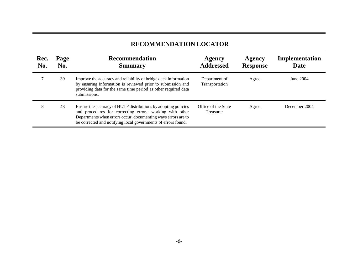### **RECOMMENDATION LOCATOR**

| Rec.<br>No. | Page<br>No. | <b>Recommendation</b><br><b>Summary</b>                                                                                                                                                                                                                      | <b>Agency</b><br><b>Addressed</b> | Agency<br><b>Response</b> | Implementation<br>Date |
|-------------|-------------|--------------------------------------------------------------------------------------------------------------------------------------------------------------------------------------------------------------------------------------------------------------|-----------------------------------|---------------------------|------------------------|
|             | 39          | Improve the accuracy and reliability of bridge deck information<br>by ensuring information is reviewed prior to submission and<br>providing data for the same time period as other required data<br>submissions.                                             | Department of<br>Transportation   | Agree                     | June 2004              |
| 8           | 43          | Ensure the accuracy of HUTF distributions by adopting policies<br>and procedures for correcting errors, working with other<br>Departments when errors occur, documenting ways errors are to<br>be corrected and notifying local governments of errors found. | Office of the State<br>Treasurer  | Agree                     | December 2004          |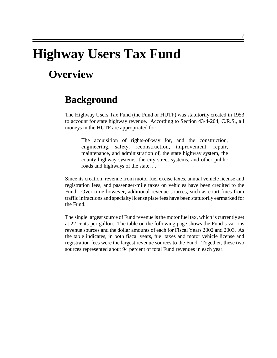# **Highway Users Tax Fund**

# **Overview**

## **Background**

The Highway Users Tax Fund (the Fund or HUTF) was statutorily created in 1953 to account for state highway revenue. According to Section 43-4-204, C.R.S., all moneys in the HUTF are appropriated for:

The acquisition of rights-of-way for, and the construction, engineering, safety, reconstruction, improvement, repair, maintenance, and administration of, the state highway system, the county highway systems, the city street systems, and other public roads and highways of the state. . .

Since its creation, revenue from motor fuel excise taxes, annual vehicle license and registration fees, and passenger-mile taxes on vehicles have been credited to the Fund. Over time however, additional revenue sources, such as court fines from traffic infractions and specialty license plate fees have been statutorily earmarked for the Fund.

The single largest source of Fund revenue is the motor fuel tax, which is currently set at 22 cents per gallon. The table on the following page shows the Fund's various revenue sources and the dollar amounts of each for Fiscal Years 2002 and 2003. As the table indicates, in both fiscal years, fuel taxes and motor vehicle license and registration fees were the largest revenue sources to the Fund. Together, these two sources represented about 94 percent of total Fund revenues in each year.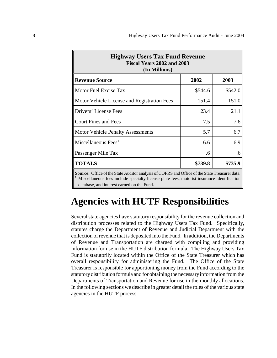| <b>Highway Users Tax Fund Revenue</b><br>Fiscal Years 2002 and 2003<br>(In Millions)                                                                                                                             |         |         |  |  |  |
|------------------------------------------------------------------------------------------------------------------------------------------------------------------------------------------------------------------|---------|---------|--|--|--|
| <b>Revenue Source</b>                                                                                                                                                                                            | 2002    | 2003    |  |  |  |
| Motor Fuel Excise Tax                                                                                                                                                                                            | \$544.6 | \$542.0 |  |  |  |
| Motor Vehicle License and Registration Fees                                                                                                                                                                      | 151.4   | 151.0   |  |  |  |
| Drivers' License Fees                                                                                                                                                                                            | 23.4    | 21.1    |  |  |  |
| <b>Court Fines and Fees</b>                                                                                                                                                                                      | 7.5     | 7.6     |  |  |  |
| <b>Motor Vehicle Penalty Assessments</b>                                                                                                                                                                         | 5.7     | 6.7     |  |  |  |
| Miscellaneous Fees <sup>1</sup>                                                                                                                                                                                  | 6.6     | 6.9     |  |  |  |
| Passenger Mile Tax                                                                                                                                                                                               | .6      | .6      |  |  |  |
| <b>TOTALS</b>                                                                                                                                                                                                    | \$739.8 | \$735.9 |  |  |  |
| <b>Source:</b> Office of the State Auditor analysis of COFRS and Office of the State Treasurer data.<br>$\frac{1}{2}$ Miscellaneous fees include specialty license plate fees, motorist insurance identification |         |         |  |  |  |

database, and interest earned on the Fund.

# **Agencies with HUTF Responsibilities**

Several state agencies have statutory responsibility for the revenue collection and distribution processes related to the Highway Users Tax Fund. Specifically, statutes charge the Department of Revenue and Judicial Department with the collection of revenue that is deposited into the Fund. In addition, the Departments of Revenue and Transportation are charged with compiling and providing information for use in the HUTF distribution formula. The Highway Users Tax Fund is statutorily located within the Office of the State Treasurer which has overall responsibility for administering the Fund. The Office of the State Treasurer is responsible for apportioning money from the Fund according to the statutory distribution formula and for obtaining the necessary information from the Departments of Transportation and Revenue for use in the monthly allocations. In the following sections we describe in greater detail the roles of the various state agencies in the HUTF process.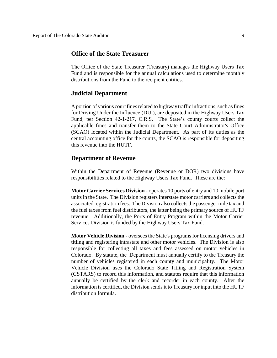#### **Office of the State Treasurer**

The Office of the State Treasurer (Treasury) manages the Highway Users Tax Fund and is responsible for the annual calculations used to determine monthly distributions from the Fund to the recipient entities.

#### **Judicial Department**

A portion of various court fines related to highway traffic infractions, such as fines for Driving Under the Influence (DUI), are deposited in the Highway Users Tax Fund, per Section 42-1-217, C.R.S. The State's county courts collect the applicable fines and transfer them to the State Court Administrator's Office (SCAO) located within the Judicial Department. As part of its duties as the central accounting office for the courts, the SCAO is responsible for depositing this revenue into the HUTF.

#### **Department of Revenue**

Within the Department of Revenue (Revenue or DOR) two divisions have responsibilities related to the Highway Users Tax Fund. These are the:

**Motor Carrier Services Division** - operates 10 ports of entry and 10 mobile port units in the State. The Division registers interstate motor carriers and collects the associated registration fees. The Division also collects the passenger mile tax and the fuel taxes from fuel distributors, the latter being the primary source of HUTF revenue. Additionally, the Ports of Entry Program within the Motor Carrier Services Division is funded by the Highway Users Tax Fund.

**Motor Vehicle Division** - oversees the State's programs for licensing drivers and titling and registering intrastate and other motor vehicles. The Division is also responsible for collecting all taxes and fees assessed on motor vehicles in Colorado. By statute, the Department must annually certify to the Treasury the number of vehicles registered in each county and municipality. The Motor Vehicle Division uses the Colorado State Titling and Registration System (CSTARS) to record this information, and statutes require that this information annually be certified by the clerk and recorder in each county. After the information is certified, the Division sends it to Treasury for input into the HUTF distribution formula.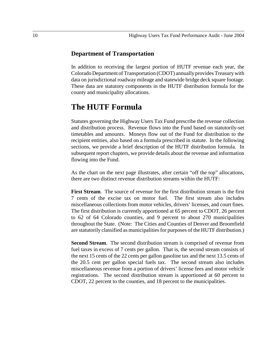#### **Department of Transportation**

In addition to receiving the largest portion of HUTF revenue each year, the Colorado Department of Transportation (CDOT) annually provides Treasury with data on jurisdictional roadway mileage and statewide bridge deck square footage. These data are statutory components in the HUTF distribution formula for the county and municipality allocations.

## **The HUTF Formula**

Statutes governing the Highway Users Tax Fund prescribe the revenue collection and distribution process. Revenue flows into the Fund based on statutorily-set timetables and amounts. Moneys flow out of the Fund for distribution to the recipient entities, also based on a formula prescribed in statute. In the following sections, we provide a brief description of the HUTF distribution formula. In subsequent report chapters, we provide details about the revenue and information flowing into the Fund.

As the chart on the next page illustrates, after certain "off the top" allocations, there are two distinct revenue distribution streams within the HUTF:

**First Stream**. The source of revenue for the first distribution stream is the first 7 cents of the excise tax on motor fuel. The first stream also includes miscellaneous collections from motor vehicles, drivers' licenses, and court fines. The first distribution is currently apportioned at 65 percent to CDOT, 26 percent to 62 of 64 Colorado counties, and 9 percent to about 270 municipalities throughout the State. (Note: The Cities and Counties of Denver and Broomfield are statutorily classified as municipalities for purposes of the HUTF distribution.)

**Second Stream**. The second distribution stream is comprised of revenue from fuel taxes in excess of 7 cents per gallon. That is, the second stream consists of the next 15 cents of the 22 cents per gallon gasoline tax and the next 13.5 cents of the 20.5 cent per gallon special fuels tax. The second stream also includes miscellaneous revenue from a portion of drivers' license fees and motor vehicle registrations. The second distribution stream is apportioned at 60 percent to CDOT, 22 percent to the counties, and 18 percent to the municipalities.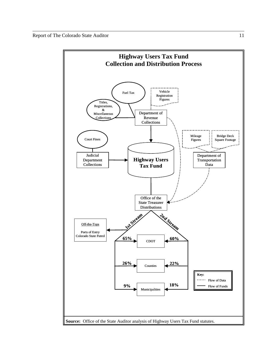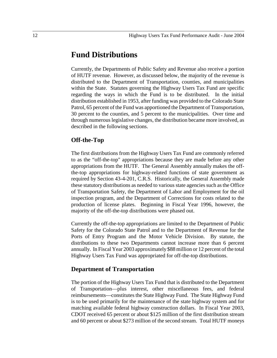## **Fund Distributions**

Currently, the Departments of Public Safety and Revenue also receive a portion of HUTF revenue. However, as discussed below, the majority of the revenue is distributed to the Department of Transportation, counties, and municipalities within the State. Statutes governing the Highway Users Tax Fund are specific regarding the ways in which the Fund is to be distributed. In the initial distribution established in 1953, after funding was provided to the Colorado State Patrol, 65 percent of the Fund was apportioned the Department of Transportation, 30 percent to the counties, and 5 percent to the municipalities. Over time and through numerous legislative changes, the distribution became more involved, as described in the following sections.

#### **Off-the-Top**

The first distributions from the Highway Users Tax Fund are commonly referred to as the "off-the-top" appropriations because they are made before any other appropriations from the HUTF. The General Assembly annually makes the offthe-top appropriations for highway-related functions of state government as required by Section 43-4-201, C.R.S. Historically, the General Assembly made these statutory distributions as needed to various state agencies such as the Office of Transportation Safety, the Department of Labor and Employment for the oil inspection program, and the Department of Corrections for costs related to the production of license plates. Beginning in Fiscal Year 1996, however, the majority of the off-the-top distributions were phased out.

Currently the off-the-top appropriations are limited to the Department of Public Safety for the Colorado State Patrol and to the Department of Revenue for the Ports of Entry Program and the Motor Vehicle Division. By statute, the distributions to these two Departments cannot increase more than 6 percent annually. In Fiscal Year 2003 approximately \$88 million or 12 percent of the total Highway Users Tax Fund was appropriated for off-the-top distributions.

#### **Department of Transportation**

The portion of the Highway Users Tax Fund that is distributed to the Department of Transportation—plus interest, other miscellaneous fees, and federal reimbursements—constitutes the State Highway Fund. The State Highway Fund is to be used primarily for the maintenance of the state highway system and for matching available federal highway construction dollars. In Fiscal Year 2003, CDOT received 65 percent or about \$125 million of the first distribution stream and 60 percent or about \$273 million of the second stream. Total HUTF moneys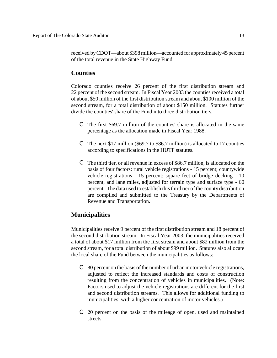received by CDOT—about \$398 million—accounted for approximately 45 percent of the total revenue in the State Highway Fund.

#### **Counties**

Colorado counties receive 26 percent of the first distribution stream and 22 percent of the second stream. In Fiscal Year 2003 the counties received a total of about \$50 million of the first distribution stream and about \$100 million of the second stream, for a total distribution of about \$150 million. Statutes further divide the counties' share of the Fund into three distribution tiers.

- C The first \$69.7 million of the counties' share is allocated in the same percentage as the allocation made in Fiscal Year 1988.
- C The next \$17 million (\$69.7 to \$86.7 million) is allocated to 17 counties according to specifications in the HUTF statutes.
- C The third tier, or all revenue in excess of \$86.7 million, is allocated on the basis of four factors: rural vehicle registrations - 15 percent; countywide vehicle registrations - 15 percent; square feet of bridge decking - 10 percent, and lane miles, adjusted for terrain type and surface type - 60 percent. The data used to establish this third tier of the county distribution are compiled and submitted to the Treasury by the Departments of Revenue and Transportation.

#### **Municipalities**

Municipalities receive 9 percent of the first distribution stream and 18 percent of the second distribution stream. In Fiscal Year 2003, the municipalities received a total of about \$17 million from the first stream and about \$82 million from the second stream, for a total distribution of about \$99 million. Statutes also allocate the local share of the Fund between the municipalities as follows:

- $\degree$  80 percent on the basis of the number of urban motor vehicle registrations, adjusted to reflect the increased standards and costs of construction resulting from the concentration of vehicles in municipalities. (Note: Factors used to adjust the vehicle registrations are different for the first and second distribution streams. This allows for additional funding to municipalities with a higher concentration of motor vehicles.)
- C 20 percent on the basis of the mileage of open, used and maintained streets.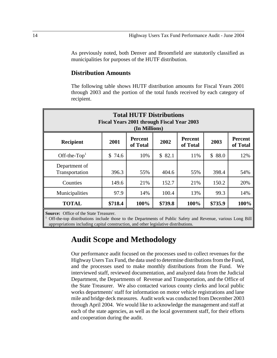As previously noted, both Denver and Broomfield are statutorily classified as municipalities for purposes of the HUTF distribution.

#### **Distribution Amounts**

The following table shows HUTF distribution amounts for Fiscal Years 2001 through 2003 and the portion of the total funds received by each category of recipient.

| <b>Total HUTF Distributions</b><br>Fiscal Years 2001 through Fiscal Year 2003<br>(In Millions) |         |                            |         |                            |         |                            |
|------------------------------------------------------------------------------------------------|---------|----------------------------|---------|----------------------------|---------|----------------------------|
| <b>Recipient</b>                                                                               | 2001    | <b>Percent</b><br>of Total | 2002    | <b>Percent</b><br>of Total | 2003    | <b>Percent</b><br>of Total |
| Off-the- $Top1$                                                                                | \$74.6  | 10%                        | \$82.1  | 11%                        | \$88.0  | 12%                        |
| Department of<br>Transportation                                                                | 396.3   | 55%                        | 404.6   | 55%                        | 398.4   | 54%                        |
| Counties                                                                                       | 149.6   | 21%                        | 152.7   | 21%                        | 150.2   | 20%                        |
| Municipalities                                                                                 | 97.9    | 14%                        | 100.4   | 13%                        | 99.3    | 14%                        |
| <b>TOTAL</b>                                                                                   | \$718.4 | 100%                       | \$739.8 | 100%                       | \$735.9 | 100%                       |

**Source:** Office of the State Treasurer.

<sup>1</sup> Off-the-top distributions include those to the Departments of Public Safety and Revenue, various Long Bill appropriations including capital construction, and other legislative distributions.

## **Audit Scope and Methodology**

Our performance audit focused on the processes used to collect revenues for the Highway Users Tax Fund, the data used to determine distributions from the Fund, and the processes used to make monthly distributions from the Fund. We interviewed staff, reviewed documentation, and analyzed data from the Judicial Department, the Departments of Revenue and Transportation, and the Office of the State Treasurer. We also contacted various county clerks and local public works departments' staff for information on motor vehicle registrations and lane mile and bridge deck measures. Audit work was conducted from December 2003 through April 2004. We would like to acknowledge the management and staff at each of the state agencies, as well as the local government staff, for their efforts and cooperation during the audit.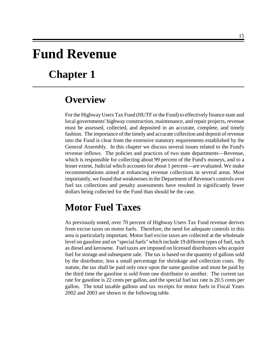# **Fund Revenue**

# **Chapter 1**

## **Overview**

For the Highway Users Tax Fund (HUTF or the Fund) to effectively finance state and local governments' highway construction, maintenance, and repair projects, revenue must be assessed, collected, and deposited in an accurate, complete, and timely fashion. The importance of the timely and accurate collection and deposit of revenue into the Fund is clear from the extensive statutory requirements established by the General Assembly. In this chapter we discuss several issues related to the Fund's revenue inflows. The policies and practices of two state departments—Revenue, which is responsible for collecting about 99 percent of the Fund's moneys, and to a lesser extent, Judicial which accounts for about 1 percent—are evaluated. We make recommendations aimed at enhancing revenue collections in several areas. Most importantly, we found that weaknesses in the Department of Revenue's controls over fuel tax collections and penalty assessments have resulted in significantly fewer dollars being collected for the Fund than should be the case.

# **Motor Fuel Taxes**

As previously noted, over 70 percent of Highway Users Tax Fund revenue derives from excise taxes on motor fuels. Therefore, the need for adequate controls in this area is particularly important. Motor fuel excise taxes are collected at the wholesale level on gasoline and on "special fuels" which include 19 different types of fuel, such as diesel and kerosene. Fuel taxes are imposed on licensed distributors who acquire fuel for storage and subsequent sale. The tax is based on the quantity of gallons sold by the distributor, less a small percentage for shrinkage and collection costs. By statute, the tax shall be paid only once upon the same gasoline and must be paid by the third time the gasoline is sold from one distributor to another. The current tax rate for gasoline is 22 cents per gallon, and the special fuel tax rate is 20.5 cents per gallon. The total taxable gallons and tax receipts for motor fuels in Fiscal Years 2002 and 2003 are shown in the following table.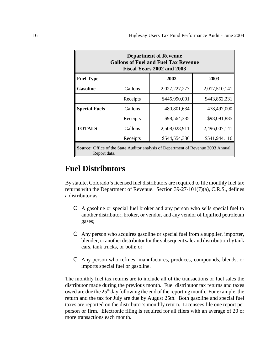| <b>Department of Revenue</b><br><b>Gallons of Fuel and Fuel Tax Revenue</b><br>Fiscal Years 2002 and 2003 |          |               |               |  |  |
|-----------------------------------------------------------------------------------------------------------|----------|---------------|---------------|--|--|
| <b>Fuel Type</b>                                                                                          |          | 2002          | 2003          |  |  |
| <b>Gasoline</b>                                                                                           | Gallons  | 2,027,227,277 | 2,017,510,141 |  |  |
|                                                                                                           | Receipts | \$445,990,001 | \$443,852,231 |  |  |
| <b>Special Fuels</b>                                                                                      | Gallons  | 480,801,634   | 478,497,000   |  |  |
|                                                                                                           | Receipts | \$98,564,335  | \$98,091,885  |  |  |
| <b>TOTALS</b>                                                                                             | Gallons  | 2,508,028,911 | 2,496,007,141 |  |  |
|                                                                                                           | Receipts | \$544,554,336 | \$541,944,116 |  |  |
| <b>Source:</b> Office of the State Auditor analysis of Department of Revenue 2003 Annual<br>Report data.  |          |               |               |  |  |

## **Fuel Distributors**

By statute, Colorado's licensed fuel distributors are required to file monthly fuel tax returns with the Department of Revenue. Section  $39-27-101(7)(a)$ , C.R.S., defines a distributor as:

- C A gasoline or special fuel broker and any person who sells special fuel to another distributor, broker, or vendor, and any vendor of liquified petroleum gases;
- C Any person who acquires gasoline or special fuel from a supplier, importer, blender, or another distributor for the subsequent sale and distribution by tank cars, tank trucks, or both; or
- C Any person who refines, manufactures, produces, compounds, blends, or imports special fuel or gasoline.

The monthly fuel tax returns are to include all of the transactions or fuel sales the distributor made during the previous month. Fuel distributor tax returns and taxes owed are due the 25<sup>th</sup> day following the end of the reporting month. For example, the return and the tax for July are due by August 25th. Both gasoline and special fuel taxes are reported on the distributor's monthly return. Licensees file one report per person or firm. Electronic filing is required for all filers with an average of 20 or more transactions each month.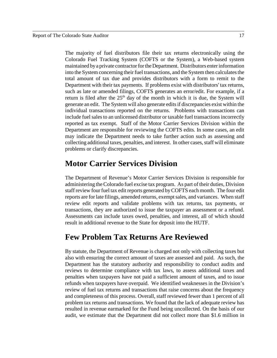The majority of fuel distributors file their tax returns electronically using the Colorado Fuel Tracking System (COFTS or the System), a Web-based system maintained by a private contractor for the Department. Distributors enter information into the System concerning their fuel transactions, and the System then calculates the total amount of tax due and provides distributors with a form to remit to the Department with their tax payments. If problems exist with distributors' tax returns, such as late or amended filings, COFTS generates an error/edit. For example, if a return is filed after the  $25<sup>th</sup>$  day of the month in which it is due, the System will generate an edit. The System will also generate edits if discrepancies exist within the individual transactions reported on the returns. Problems with transactions can include fuel sales to an unlicensed distributor or taxable fuel transactions incorrectly reported as tax exempt. Staff of the Motor Carrier Services Division within the Department are responsible for reviewing the COFTS edits. In some cases, an edit may indicate the Department needs to take further action such as assessing and collecting additional taxes, penalties, and interest. In other cases, staff will eliminate problems or clarify discrepancies.

## **Motor Carrier Services Division**

The Department of Revenue's Motor Carrier Services Division is responsible for administering the Colorado fuel excise tax program. As part of their duties, Division staff review four fuel tax edit reports generated by COFTS each month. The four edit reports are for late filings, amended returns, exempt sales, and variances. When staff review edit reports and validate problems with tax returns, tax payments, or transactions, they are authorized to issue the taxpayer an assessment or a refund. Assessments can include taxes owed, penalties, and interest, all of which should result in additional revenue to the State for deposit into the HUTF.

## **Few Problem Tax Returns Are Reviewed**

By statute, the Department of Revenue is charged not only with collecting taxes but also with ensuring the correct amount of taxes are assessed and paid. As such, the Department has the statutory authority and responsibility to conduct audits and reviews to determine compliance with tax laws, to assess additional taxes and penalties when taxpayers have not paid a sufficient amount of taxes, and to issue refunds when taxpayers have overpaid. We identified weaknesses in the Division's review of fuel tax returns and transactions that raise concerns about the frequency and completeness of this process. Overall, staff reviewed fewer than 1 percent of all problem tax returns and transactions. We found that the lack of adequate review has resulted in revenue earmarked for the Fund being uncollected. On the basis of our audit, we estimate that the Department did not collect more than \$1.6 million in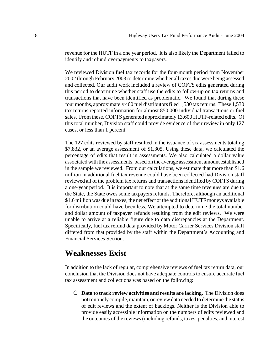revenue for the HUTF in a one year period. It is also likely the Department failed to identify and refund overpayments to taxpayers.

We reviewed Division fuel tax records for the four-month period from November 2002 through February 2003 to determine whether all taxes due were being assessed and collected. Our audit work included a review of COFTS edits generated during this period to determine whether staff use the edits to follow-up on tax returns and transactions that have been identified as problematic. We found that during these four months, approximately 400 fuel distributors filed 1,530 tax returns. These 1,530 tax returns reported information for almost 850,000 individual transactions or fuel sales. From these, COFTS generated approximately 13,600 HUTF-related edits. Of this total number, Division staff could provide evidence of their review in only 127 cases, or less than 1 percent.

The 127 edits reviewed by staff resulted in the issuance of six assessments totaling \$7,832, or an average assessment of \$1,305. Using these data, we calculated the percentage of edits that result in assessments. We also calculated a dollar value associated with the assessments, based on the average assessment amount established in the sample we reviewed. From our calculations, we estimate that more than \$1.6 million in additional fuel tax revenue could have been collected had Division staff reviewed all of the problem tax returns and transactions identified by COFTS during a one-year period. It is important to note that at the same time revenues are due to the State, the State owes some taxpayers refunds. Therefore, although an additional \$1.6 million was due in taxes, the net effect or the additional HUTF moneys available for distribution could have been less. We attempted to determine the total number and dollar amount of taxpayer refunds resulting from the edit reviews. We were unable to arrive at a reliable figure due to data discrepancies at the Department. Specifically, fuel tax refund data provided by Motor Carrier Services Division staff differed from that provided by the staff within the Department's Accounting and Financial Services Section.

## **Weaknesses Exist**

In addition to the lack of regular, comprehensive reviews of fuel tax return data, our conclusion that the Division does not have adequate controls to ensure accurate fuel tax assessment and collections was based on the following:

C **Data to track review activities and results are lacking.** The Division does not routinely compile, maintain, or review data needed to determine the status of edit reviews and the extent of backlogs. Neither is the Division able to provide easily accessible information on the numbers of edits reviewed and the outcomes of the reviews (including refunds, taxes, penalties, and interest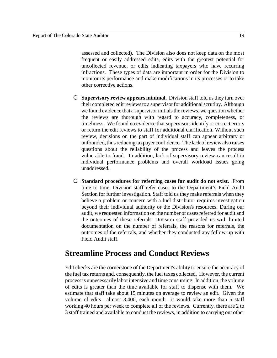assessed and collected). The Division also does not keep data on the most frequent or easily addressed edits, edits with the greatest potential for uncollected revenue, or edits indicating taxpayers who have recurring infractions. These types of data are important in order for the Division to monitor its performance and make modifications in its processes or to take other corrective actions.

- C **Supervisory review appears minimal.** Division staff told us they turn over their completed edit reviews to a supervisor for additional scrutiny. Although we found evidence that a supervisor initials the reviews, we question whether the reviews are thorough with regard to accuracy, completeness, or timeliness. We found no evidence that supervisors identify or correct errors or return the edit reviews to staff for additional clarification. Without such review, decisions on the part of individual staff can appear arbitrary or unfounded, thus reducing taxpayer confidence. The lack of review also raises questions about the reliability of the process and leaves the process vulnerable to fraud. In addition, lack of supervisory review can result in individual performance problems and overall workload issues going unaddressed.
- C **Standard procedures for referring cases for audit do not exist.** From time to time, Division staff refer cases to the Department's Field Audit Section for further investigation. Staff told us they make referrals when they believe a problem or concern with a fuel distributor requires investigation beyond their individual authority or the Division's resources. During our audit, we requested information on the number of cases referred for audit and the outcomes of these referrals. Division staff provided us with limited documentation on the number of referrals, the reasons for referrals, the outcomes of the referrals, and whether they conducted any follow-up with Field Audit staff.

## **Streamline Process and Conduct Reviews**

Edit checks are the cornerstone of the Department's ability to ensure the accuracy of the fuel tax returns and, consequently, the fuel taxes collected. However, the current process is unnecessarily labor intensive and time consuming. In addition, the volume of edits is greater than the time available for staff to dispense with them. We estimate that staff take about 15 minutes on average to review an edit. Given the volume of edits—almost 3,400, each month—it would take more than 5 staff working 40 hours per week to complete all of the reviews. Currently, there are 2 to 3 staff trained and available to conduct the reviews, in addition to carrying out other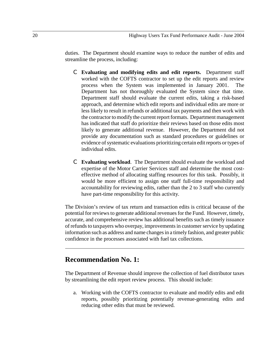duties. The Department should examine ways to reduce the number of edits and streamline the process, including:

- C **Evaluating and modifying edits and edit reports.** Department staff worked with the COFTS contractor to set up the edit reports and review process when the System was implemented in January 2001. The Department has not thoroughly evaluated the System since that time. Department staff should evaluate the current edits, taking a risk-based approach, and determine which edit reports and individual edits are more or less likely to result in refunds or additional tax payments and then work with the contractor to modify the current report formats. Department management has indicated that staff do prioritize their reviews based on those edits most likely to generate additional revenue. However, the Department did not provide any documentation such as standard procedures or guidelines or evidence of systematic evaluations prioritizing certain edit reports or types of individual edits.
- C **Evaluating workload**. The Department should evaluate the workload and expertise of the Motor Carrier Services staff and determine the most costeffective method of allocating staffing resources for this task. Possibly, it would be more efficient to assign one staff full-time responsibility and accountability for reviewing edits, rather than the 2 to 3 staff who currently have part-time responsibility for this activity.

The Division's review of tax return and transaction edits is critical because of the potential for reviews to generate additional revenues for the Fund. However, timely, accurate, and comprehensive review has additional benefits such as timely issuance of refunds to taxpayers who overpay, improvements in customer service by updating information such as address and name changes in a timely fashion, and greater public confidence in the processes associated with fuel tax collections.

## **Recommendation No. 1:**

The Department of Revenue should improve the collection of fuel distributor taxes by streamlining the edit report review process. This should include:

a. Working with the COFTS contractor to evaluate and modify edits and edit reports, possibly prioritizing potentially revenue-generating edits and reducing other edits that must be reviewed.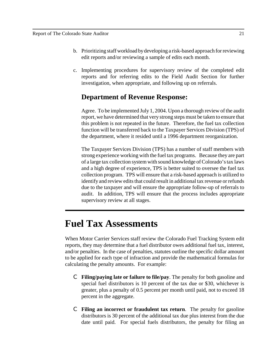- b. Prioritizing staff workload by developing a risk-based approach for reviewing edit reports and/or reviewing a sample of edits each month.
- c. Implementing procedures for supervisory review of the completed edit reports and for referring edits to the Field Audit Section for further investigation, when appropriate, and following up on referrals.

## **Department of Revenue Response:**

Agree. To be implemented July 1, 2004. Upon a thorough review of the audit report, we have determined that very strong steps must be taken to ensure that this problem is not repeated in the future. Therefore, the fuel tax collection function will be transferred back to the Taxpayer Services Division (TPS) of the department, where it resided until a 1996 department reorganization.

The Taxpayer Services Division (TPS) has a number of staff members with strong experience working with the fuel tax programs. Because they are part of a large tax collection system with sound knowledge of Colorado's tax laws and a high degree of experience, TPS is better suited to oversee the fuel tax collection program. TPS will ensure that a risk-based approach is utilized to identify and review edits that could result in additional tax revenue or refunds due to the taxpayer and will ensure the appropriate follow-up of referrals to audit. In addition, TPS will ensure that the process includes appropriate supervisory review at all stages.

# **Fuel Tax Assessments**

When Motor Carrier Services staff review the Colorado Fuel Tracking System edit reports, they may determine that a fuel distributor owes additional fuel tax, interest, and/or penalties. In the case of penalties, statutes outline the specific dollar amount to be applied for each type of infraction and provide the mathematical formulas for calculating the penalty amounts. For example:

- C **Filing/paying late or failure to file/pay**. The penalty for both gasoline and special fuel distributors is 10 percent of the tax due or \$30, whichever is greater, plus a penalty of 0.5 percent per month until paid, not to exceed 18 percent in the aggregate.
- C **Filing an incorrect or fraudulent tax return**. The penalty for gasoline distributors is 30 percent of the additional tax due plus interest from the due date until paid. For special fuels distributors, the penalty for filing an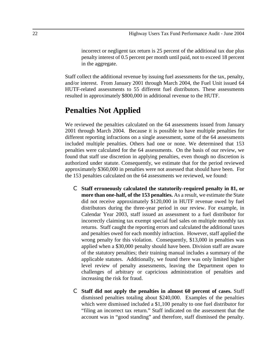incorrect or negligent tax return is 25 percent of the additional tax due plus penalty interest of 0.5 percent per month until paid, not to exceed 18 percent in the aggregate.

Staff collect the additional revenue by issuing fuel assessments for the tax, penalty, and/or interest. From January 2001 through March 2004, the Fuel Unit issued 64 HUTF-related assessments to 55 different fuel distributors. These assessments resulted in approximately \$800,000 in additional revenue to the HUTF.

## **Penalties Not Applied**

We reviewed the penalties calculated on the 64 assessments issued from January 2001 through March 2004. Because it is possible to have multiple penalties for different reporting infractions on a single assessment, some of the 64 assessments included multiple penalties. Others had one or none. We determined that 153 penalties were calculated for the 64 assessments. On the basis of our review, we found that staff use discretion in applying penalties, even though no discretion is authorized under statute. Consequently, we estimate that for the period reviewed approximately \$360,000 in penalties were not assessed that should have been. For the 153 penalties calculated on the 64 assessments we reviewed, we found:

- C **Staff erroneously calculated the statutorily-required penalty in 81, or more than one-half, of the 153 penalties.** As a result, we estimate the State did not receive approximately \$120,000 in HUTF revenue owed by fuel distributors during the three-year period in our review. For example, in Calendar Year 2003, staff issued an assessment to a fuel distributor for incorrectly claiming tax exempt special fuel sales on multiple monthly tax returns. Staff caught the reporting errors and calculated the additional taxes and penalties owed for each monthly infraction. However, staff applied the wrong penalty for this violation. Consequently, \$13,000 in penalties was applied when a \$30,000 penalty should have been. Division staff are aware of the statutory penalties; their training manual includes a summary of the applicable statutes. Additionally, we found there was only limited higher level review of penalty assessments, leaving the Department open to challenges of arbitrary or capricious administration of penalties and increasing the risk for fraud.
- C **Staff did not apply the penalties in almost 60 percent of cases.** Staff dismissed penalties totaling about \$240,000. Examples of the penalties which were dismissed included a \$1,100 penalty to one fuel distributor for "filing an incorrect tax return." Staff indicated on the assessment that the account was in "good standing" and therefore, staff dismissed the penalty.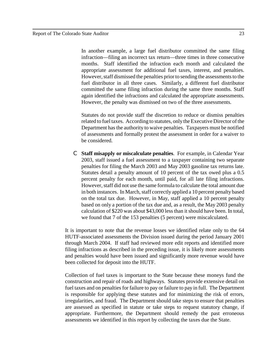In another example, a large fuel distributor committed the same filing infraction—filing an incorrect tax return—three times in three consecutive months. Staff identified the infraction each month and calculated the appropriate assessment for additional fuel taxes, interest, and penalties. However, staff dismissed the penalties prior to sending the assessments to the fuel distributor in all three cases. Similarly, a different fuel distributor committed the same filing infraction during the same three months. Staff again identified the infractions and calculated the appropriate assessments. However, the penalty was dismissed on two of the three assessments.

Statutes do not provide staff the discretion to reduce or dismiss penalties related to fuel taxes. According to statutes, only the Executive Director of the Department has the authority to waive penalties. Taxpayers must be notified of assessments and formally protest the assessment in order for a waiver to be considered.

C **Staff misapply or miscalculate penalties**. For example, in Calendar Year 2003, staff issued a fuel assessment to a taxpayer containing two separate penalties for filing the March 2003 and May 2003 gasoline tax returns late. Statutes detail a penalty amount of 10 percent of the tax owed plus a 0.5 percent penalty for each month, until paid, for all late filing infractions. However, staff did not use the same formula to calculate the total amount due in both instances. In March, staff correctly applied a 10 percent penalty based on the total tax due. However, in May, staff applied a 10 percent penalty based on only a portion of the tax due and, as a result, the May 2003 penalty calculation of \$220 was about \$43,000 less than it should have been. In total, we found that 7 of the 153 penalties (5 percent) were miscalculated.

It is important to note that the revenue losses we identified relate only to the 64 HUTF-associated assessments the Division issued during the period January 2001 through March 2004. If staff had reviewed more edit reports and identified more filing infractions as described in the preceding issue, it is likely more assessments and penalties would have been issued and significantly more revenue would have been collected for deposit into the HUTF.

Collection of fuel taxes is important to the State because these moneys fund the construction and repair of roads and highways. Statutes provide extensive detail on fuel taxes and on penalties for failure to pay or failure to pay in full. The Department is responsible for applying these statutes and for minimizing the risk of errors, irregularities, and fraud. The Department should take steps to ensure that penalties are assessed as specified in statute or take steps to request statutory change, if appropriate. Furthermore, the Department should remedy the past erroneous assessments we identified in this report by collecting the taxes due the State.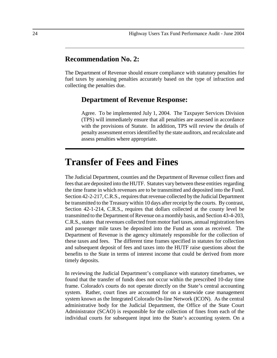### **Recommendation No. 2:**

The Department of Revenue should ensure compliance with statutory penalties for fuel taxes by assessing penalties accurately based on the type of infraction and collecting the penalties due.

#### **Department of Revenue Response:**

Agree. To be implemented July 1, 2004. The Taxpayer Services Division (TPS) will immediately ensure that all penalties are assessed in accordance with the provisions of Statute. In addition, TPS will review the details of penalty assessment errors identified by the state auditors, and recalculate and assess penalties where appropriate.

## **Transfer of Fees and Fines**

The Judicial Department, counties and the Department of Revenue collect fines and fees that are deposited into the HUTF. Statutes vary between these entities regarding the time frame in which revenues are to be transmitted and deposited into the Fund. Section 42-2-217, C.R.S., requires that revenue collected by the Judicial Department be transmitted to the Treasury within 10 days after receipt by the courts. By contrast, Section 42-1-214, C.R.S., requires that dollars collected at the county level be transmitted to the Department of Revenue on a monthly basis, and Section 43-4-203, C.R.S., states that revenues collected from motor fuel taxes, annual registration fees and passenger mile taxes be deposited into the Fund as soon as received. The Department of Revenue is the agency ultimately responsible for the collection of these taxes and fees. The different time frames specified in statutes for collection and subsequent deposit of fees and taxes into the HUTF raise questions about the benefits to the State in terms of interest income that could be derived from more timely deposits.

In reviewing the Judicial Department's compliance with statutory timeframes, we found that the transfer of funds does not occur within the prescribed 10-day time frame. Colorado's courts do not operate directly on the State's central accounting system. Rather, court fines are accounted for on a statewide case management system known as the Integrated Colorado On-line Network (ICON). As the central administrative body for the Judicial Department, the Office of the State Court Administrator (SCAO) is responsible for the collection of fines from each of the individual courts for subsequent input into the State's accounting system. On a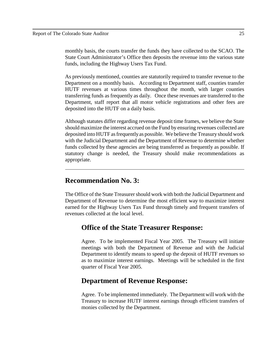monthly basis, the courts transfer the funds they have collected to the SCAO. The State Court Administrator's Office then deposits the revenue into the various state funds, including the Highway Users Tax Fund.

As previously mentioned, counties are statutorily required to transfer revenue to the Department on a monthly basis. According to Department staff, counties transfer HUTF revenues at various times throughout the month, with larger counties transferring funds as frequently as daily. Once these revenues are transferred to the Department, staff report that all motor vehicle registrations and other fees are deposited into the HUTF on a daily basis.

Although statutes differ regarding revenue deposit time frames, we believe the State should maximize the interest accrued on the Fund by ensuring revenues collected are deposited into HUTF as frequently as possible. We believe the Treasury should work with the Judicial Department and the Department of Revenue to determine whether funds collected by these agencies are being transferred as frequently as possible. If statutory change is needed, the Treasury should make recommendations as appropriate.

### **Recommendation No. 3:**

The Office of the State Treasurer should work with both the Judicial Department and Department of Revenue to determine the most efficient way to maximize interest earned for the Highway Users Tax Fund through timely and frequent transfers of revenues collected at the local level.

## **Office of the State Treasurer Response:**

Agree. To be implemented Fiscal Year 2005. The Treasury will initiate meetings with both the Department of Revenue and with the Judicial Department to identify means to speed up the deposit of HUTF revenues so as to maximize interest earnings. Meetings will be scheduled in the first quarter of Fiscal Year 2005.

#### **Department of Revenue Response:**

Agree. To be implemented immediately. The Department will work with the Treasury to increase HUTF interest earnings through efficient transfers of monies collected by the Department.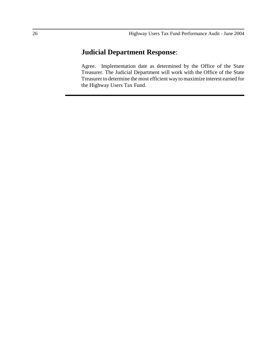## **Judicial Department Response**:

Agree. Implementation date as determined by the Office of the State Treasurer. The Judicial Department will work with the Office of the State Treasurer to determine the most efficient way to maximize interest earned for the Highway Users Tax Fund.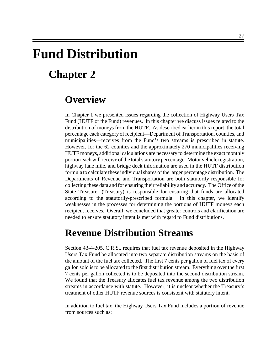# **Fund Distribution**

# **Chapter 2**

## **Overview**

In Chapter 1 we presented issues regarding the collection of Highway Users Tax Fund (HUTF or the Fund) revenues. In this chapter we discuss issues related to the distribution of moneys from the HUTF. As described earlier in this report, the total percentage each category of recipient—Department of Transportation, counties, and municipalities—receives from the Fund's two streams is prescribed in statute. However, for the 62 counties and the approximately 270 municipalities receiving HUTF moneys, additional calculations are necessary to determine the exact monthly portion each will receive of the total statutory percentage. Motor vehicle registration, highway lane mile, and bridge deck information are used in the HUTF distribution formula to calculate these individual shares of the larger percentage distribution. The Departments of Revenue and Transportation are both statutorily responsible for collecting these data and for ensuring their reliability and accuracy. The Office of the State Treasurer (Treasury) is responsible for ensuring that funds are allocated according to the statutorily-prescribed formula. In this chapter, we identify weaknesses in the processes for determining the portions of HUTF moneys each recipient receives. Overall, we concluded that greater controls and clarification are needed to ensure statutory intent is met with regard to Fund distributions.

# **Revenue Distribution Streams**

Section 43-4-205, C.R.S., requires that fuel tax revenue deposited in the Highway Users Tax Fund be allocated into two separate distribution streams on the basis of the amount of the fuel tax collected. The first 7 cents per gallon of fuel tax of every gallon sold is to be allocated to the first distribution stream. Everything over the first 7 cents per gallon collected is to be deposited into the second distribution stream. We found that the Treasury allocates fuel tax revenue among the two distribution streams in accordance with statute. However, it is unclear whether the Treasury's treatment of other HUTF revenue sources is consistent with statutory intent.

In addition to fuel tax, the Highway Users Tax Fund includes a portion of revenue from sources such as: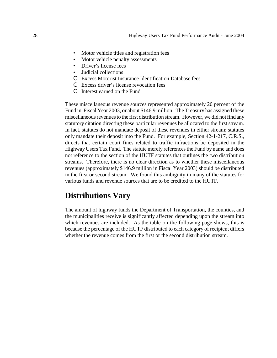- Motor vehicle titles and registration fees
- Motor vehicle penalty assessments
- Driver's license fees
- Judicial collections
- C Excess Motorist Insurance Identification Database fees
- C Excess driver's license revocation fees
- C Interest earned on the Fund

These miscellaneous revenue sources represented approximately 20 percent of the Fund in Fiscal Year 2003, or about \$146.9 million. The Treasury has assigned these miscellaneous revenues to the first distribution stream. However, we did not find any statutory citation directing these particular revenues be allocated to the first stream. In fact, statutes do not mandate deposit of these revenues in either stream; statutes only mandate their deposit into the Fund. For example, Section 42-1-217, C.R.S., directs that certain court fines related to traffic infractions be deposited in the Highway Users Tax Fund. The statute merely references the Fund by name and does not reference to the section of the HUTF statutes that outlines the two distribution streams. Therefore, there is no clear direction as to whether these miscellaneous revenues (approximately \$146.9 million in Fiscal Year 2003) should be distributed in the first or second stream. We found this ambiguity in many of the statutes for various funds and revenue sources that are to be credited to the HUTF.

## **Distributions Vary**

The amount of highway funds the Department of Transportation, the counties, and the municipalities receive is significantly affected depending upon the stream into which revenues are included. As the table on the following page shows, this is because the percentage of the HUTF distributed to each category of recipient differs whether the revenue comes from the first or the second distribution stream.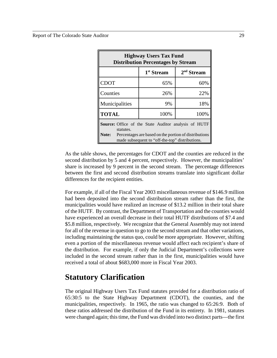| <b>Highway Users Tax Fund</b><br><b>Distribution Percentages by Stream</b> |                                                                                                          |              |  |  |  |
|----------------------------------------------------------------------------|----------------------------------------------------------------------------------------------------------|--------------|--|--|--|
|                                                                            | 1 <sup>st</sup> Stream                                                                                   | $2nd$ Stream |  |  |  |
| <b>CDOT</b>                                                                | 65%                                                                                                      | 60%          |  |  |  |
| Counties                                                                   | 26%                                                                                                      | 22%          |  |  |  |
| Municipalities                                                             | 9%                                                                                                       | 18%          |  |  |  |
| <b>TOTAL</b>                                                               | 100%                                                                                                     | 100%         |  |  |  |
| Source: Office of the State Auditor analysis of HUTF<br>statutes.          |                                                                                                          |              |  |  |  |
| Note:                                                                      | Percentages are based on the portion of distributions<br>made subsequent to "off-the-top" distributions. |              |  |  |  |

As the table shows, the percentages for CDOT and the counties are reduced in the second distribution by 5 and 4 percent, respectively. However, the municipalities' share is increased by 9 percent in the second stream. The percentage differences between the first and second distribution streams translate into significant dollar differences for the recipient entities.

For example, if all of the Fiscal Year 2003 miscellaneous revenue of \$146.9 million had been deposited into the second distribution stream rather than the first, the municipalities would have realized an increase of \$13.2 million in their total share of the HUTF. By contrast, the Department of Transportation and the counties would have experienced an overall decrease in their total HUTF distributions of \$7.4 and \$5.8 million, respectively. We recognize that the General Assembly may not intend for all of the revenue in question to go to the second stream and that other variations, including maintaining the status quo, could be more appropriate. However, shifting even a portion of the miscellaneous revenue would affect each recipient's share of the distribution. For example, if only the Judicial Department's collections were included in the second stream rather than in the first, municipalities would have received a total of about \$683,000 more in Fiscal Year 2003.

## **Statutory Clarification**

The original Highway Users Tax Fund statutes provided for a distribution ratio of 65:30:5 to the State Highway Department (CDOT), the counties, and the municipalities, respectively. In 1965, the ratio was changed to 65:26:9. Both of these ratios addressed the distribution of the Fund in its entirety. In 1981, statutes were changed again; this time, the Fund was divided into two distinct parts—the first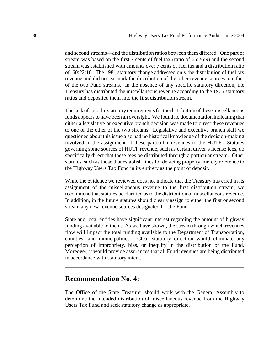and second streams—and the distribution ratios between them differed. One part or stream was based on the first 7 cents of fuel tax (ratio of 65:26:9) and the second stream was established with amounts over 7 cents of fuel tax and a distribution ratio of 60:22:18. The 1981 statutory change addressed only the distribution of fuel tax revenue and did not earmark the distribution of the other revenue sources to either of the two Fund streams. In the absence of any specific statutory direction, the Treasury has distributed the miscellaneous revenue according to the 1965 statutory ratios and deposited them into the first distribution stream.

The lack of specific statutory requirements for the distribution of these miscellaneous funds appears to have been an oversight. We found no documentation indicating that either a legislative or executive branch decision was made to direct these revenues to one or the other of the two streams. Legislative and executive branch staff we questioned about this issue also had no historical knowledge of the decision-making involved in the assignment of these particular revenues to the HUTF. Statutes governing some sources of HUTF revenue, such as certain driver's license fees, do specifically direct that these fees be distributed through a particular stream. Other statutes, such as those that establish fines for defacing property, merely reference to the Highway Users Tax Fund in its entirety as the point of deposit.

While the evidence we reviewed does not indicate that the Treasury has erred in its assignment of the miscellaneous revenue to the first distribution stream, we recommend that statutes be clarified as to the distribution of miscellaneous revenue. In addition, in the future statutes should clearly assign to either the first or second stream any new revenue sources designated for the Fund.

State and local entities have significant interest regarding the amount of highway funding available to them. As we have shown, the stream through which revenues flow will impact the total funding available to the Department of Transportation, counties, and municipalities. Clear statutory direction would eliminate any perception of impropriety, bias, or inequity in the distribution of the Fund. Moreover, it would provide assurances that all Fund revenues are being distributed in accordance with statutory intent.

#### **Recommendation No. 4:**

The Office of the State Treasurer should work with the General Assembly to determine the intended distribution of miscellaneous revenue from the Highway Users Tax Fund and seek statutory change as appropriate.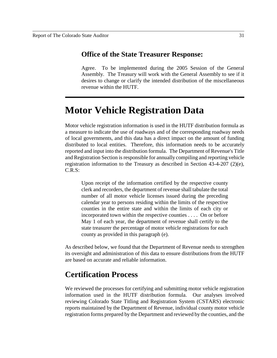#### **Office of the State Treasurer Response:**

Agree. To be implemented during the 2005 Session of the General Assembly. The Treasury will work with the General Assembly to see if it desires to change or clarify the intended distribution of the miscellaneous revenue within the HUTF.

## **Motor Vehicle Registration Data**

Motor vehicle registration information is used in the HUTF distribution formula as a measure to indicate the use of roadways and of the corresponding roadway needs of local governments, and this data has a direct impact on the amount of funding distributed to local entities. Therefore, this information needs to be accurately reported and input into the distribution formula. The Department of Revenue's Title and Registration Section is responsible for annually compiling and reporting vehicle registration information to the Treasury as described in Section 43-4-207 (2)(e), C.R.S:

Upon receipt of the information certified by the respective county clerk and recorders, the department of revenue shall tabulate the total number of all motor vehicle licenses issued during the preceding calendar year to persons residing within the limits of the respective counties in the entire state and within the limits of each city or incorporated town within the respective counties . . . . On or before May 1 of each year, the department of revenue shall certify to the state treasurer the percentage of motor vehicle registrations for each county as provided in this paragraph (e).

As described below, we found that the Department of Revenue needs to strengthen its oversight and administration of this data to ensure distributions from the HUTF are based on accurate and reliable information.

## **Certification Process**

We reviewed the processes for certifying and submitting motor vehicle registration information used in the HUTF distribution formula. Our analyses involved reviewing Colorado State Titling and Registration System (CSTARS) electronic reports maintained by the Department of Revenue, individual county motor vehicle registration forms prepared by the Department and reviewed by the counties, and the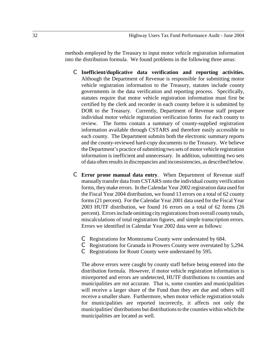methods employed by the Treasury to input motor vehicle registration information into the distribution formula. We found problems in the following three areas:

- C **Inefficient/duplicative data verification and reporting activities.** Although the Department of Revenue is responsible for submitting motor vehicle registration information to the Treasury, statutes include county governments in the data verification and reporting process. Specifically, statutes require that motor vehicle registration information must first be certified by the clerk and recorder in each county before it is submitted by DOR to the Treasury. Currently, Department of Revenue staff prepare individual motor vehicle registration verification forms for each county to review. The forms contain a summary of county-supplied registration information available through CSTARS and therefore easily accessible to each county. The Department submits both the electronic summary reports and the county-reviewed hard-copy documents to the Treasury. We believe the Department's practice of submitting two sets of motor vehicle registration information is inefficient and unnecessary. In addition, submitting two sets of data often results in discrepancies and inconsistencies, as described below.
- C **Error prone manual data entry**. When Department of Revenue staff manually transfer data from CSTARS onto the individual county verification forms, they make errors. In the Calendar Year 2002 registration data used for the Fiscal Year 2004 distribution, we found 13 errors on a total of 62 county forms (21 percent). For the Calendar Year 2001 data used for the Fiscal Year 2003 HUTF distribution, we found 16 errors on a total of 62 forms (26 percent). Errors include omitting city registrations from overall county totals, miscalculations of total registration figures, and simple transcription errors. Errors we identified in Calendar Year 2002 data were as follows:
	- C Registrations for Montezuma County were understated by 684.
	- C Registrations for Granada in Prowers County were overstated by 5,294.
	- C Registrations for Routt County were understated by 595.

The above errors were caught by county staff before being entered into the distribution formula. However, if motor vehicle registration information is misreported and errors are undetected, HUTF distributions to counties and municipalities are not accurate. That is, some counties and municipalities will receive a larger share of the Fund than they are due and others will receive a smaller share. Furthermore, when motor vehicle registration totals for municipalities are reported incorrectly, it affects not only the municipalities' distributions but distributions to the counties within which the municipalities are located as well.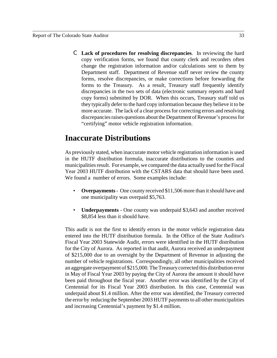C **Lack of procedures for resolving discrepancies**. In reviewing the hard copy verification forms, we found that county clerk and recorders often change the registration information and/or calculations sent to them by Department staff. Department of Revenue staff never review the county forms, resolve discrepancies, or make corrections before forwarding the forms to the Treasury. As a result, Treasury staff frequently identify discrepancies in the two sets of data (electronic summary reports and hard copy forms) submitted by DOR. When this occurs, Treasury staff told us they typically defer to the hard copy information because they believe it to be more accurate. The lack of a clear process for correcting errors and resolving discrepancies raises questions about the Department of Revenue's process for "certifying" motor vehicle registration information.

## **Inaccurate Distributions**

As previously stated, when inaccurate motor vehicle registration information is used in the HUTF distribution formula, inaccurate distributions to the counties and municipalities result. For example, we compared the data actually used for the Fiscal Year 2003 HUTF distribution with the CSTARS data that should have been used. We found a number of errors. Some examples include:

- **Overpayments**  One county received \$11,506 more than it should have and one municipality was overpaid \$5,763.
- **Underpayments** One county was underpaid \$3,643 and another received \$8,854 less than it should have.

This audit is not the first to identify errors in the motor vehicle registration data entered into the HUTF distribution formula. In the Office of the State Auditor's Fiscal Year 2003 Statewide Audit, errors were identified in the HUTF distribution for the City of Aurora. As reported in that audit, Aurora received an underpayment of \$215,000 due to an oversight by the Department of Revenue in adjusting the number of vehicle registrations. Correspondingly, all other municipalities received an aggregate overpayment of \$215,000. The Treasury corrected this distribution error in May of Fiscal Year 2003 by paying the City of Aurora the amount it should have been paid throughout the fiscal year. Another error was identified by the City of Centennial for its Fiscal Year 2003 distribution. In this case, Centennial was underpaid about \$1.4 million. After the error was identified, the Treasury corrected the error by reducing the September 2003 HUTF payments to all other municipalities and increasing Centennial's payment by \$1.4 million.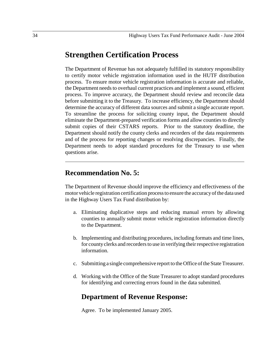## **Strengthen Certification Process**

The Department of Revenue has not adequately fulfilled its statutory responsibility to certify motor vehicle registration information used in the HUTF distribution process. To ensure motor vehicle registration information is accurate and reliable, the Department needs to overhaul current practices and implement a sound, efficient process. To improve accuracy, the Department should review and reconcile data before submitting it to the Treasury. To increase efficiency, the Department should determine the accuracy of different data sources and submit a single accurate report. To streamline the process for soliciting county input, the Department should eliminate the Department-prepared verification forms and allow counties to directly submit copies of their CSTARS reports. Prior to the statutory deadline, the Department should notify the county clerks and recorders of the data requirements and of the process for reporting changes or resolving discrepancies. Finally, the Department needs to adopt standard procedures for the Treasury to use when questions arise.

#### **Recommendation No. 5:**

The Department of Revenue should improve the efficiency and effectiveness of the motor vehicle registration certification process to ensure the accuracy of the data used in the Highway Users Tax Fund distribution by:

- a. Eliminating duplicative steps and reducing manual errors by allowing counties to annually submit motor vehicle registration information directly to the Department.
- b. Implementing and distributing procedures, including formats and time lines, for county clerks and recorders to use in verifying their respective registration information.
- c. Submitting a single comprehensive report to the Office of the State Treasurer.
- d. Working with the Office of the State Treasurer to adopt standard procedures for identifying and correcting errors found in the data submitted.

### **Department of Revenue Response:**

Agree. To be implemented January 2005.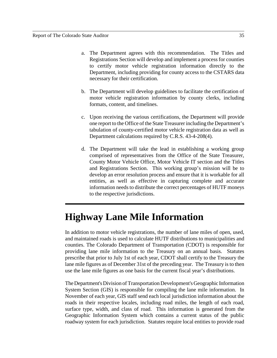- a. The Department agrees with this recommendation. The Titles and Registrations Section will develop and implement a process for counties to certify motor vehicle registration information directly to the Department, including providing for county access to the CSTARS data necessary for their certification.
- b. The Department will develop guidelines to facilitate the certification of motor vehicle registration information by county clerks, including formats, content, and timelines.
- c. Upon receiving the various certifications, the Department will provide one report to the Office of the State Treasurer including the Department's tabulation of county-certified motor vehicle registration data as well as Department calculations required by C.R.S. 43-4-208(4).
- d. The Department will take the lead in establishing a working group comprised of representatives from the Office of the State Treasurer, County Motor Vehicle Office, Motor Vehicle IT section and the Titles and Registrations Section. This working group's mission will be to develop an error resolution process and ensure that it is workable for all entities, as well as effective in capturing complete and accurate information needs to distribute the correct percentages of HUTF moneys to the respective jurisdictions.

# **Highway Lane Mile Information**

In addition to motor vehicle registrations, the number of lane miles of open, used, and maintained roads is used to calculate HUTF distributions to municipalities and counties. The Colorado Department of Transportation (CDOT) is responsible for providing lane mile information to the Treasury on an annual basis. Statutes prescribe that prior to July 1st of each year, CDOT shall certify to the Treasury the lane mile figures as of December 31st of the preceding year. The Treasury is to then use the lane mile figures as one basis for the current fiscal year's distributions.

The Department's Division of Transportation Development's Geographic Information System Section (GIS) is responsible for compiling the lane mile information. In November of each year, GIS staff send each local jurisdiction information about the roads in their respective locales, including road miles, the length of each road, surface type, width, and class of road. This information is generated from the Geographic Information System which contains a current status of the public roadway system for each jurisdiction. Statutes require local entities to provide road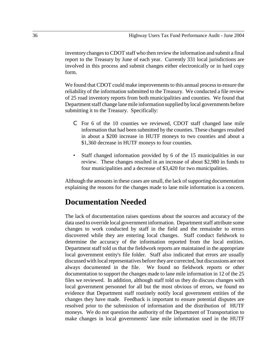inventory changes to CDOT staff who then review the information and submit a final report to the Treasury by June of each year. Currently 331 local jurisdictions are involved in this process and submit changes either electronically or in hard copy form.

We found that CDOT could make improvements to this annual process to ensure the reliability of the information submitted to the Treasury. We conducted a file review of 25 road inventory reports from both municipalities and counties. We found that Department staff change lane mile information supplied by local governments before submitting it to the Treasury. Specifically:

- C For 6 of the 10 counties we reviewed, CDOT staff changed lane mile information that had been submitted by the counties. These changes resulted in about a \$200 increase in HUTF moneys to two counties and about a \$1,360 decrease in HUTF moneys to four counties.
- Staff changed information provided by 6 of the 15 municipalities in our review. These changes resulted in an increase of about \$2,980 in funds to four municipalities and a decrease of \$3,420 for two municipalities.

Although the amounts in these cases are small, the lack of supporting documentation explaining the reasons for the changes made to lane mile information is a concern.

## **Documentation Needed**

The lack of documentation raises questions about the sources and accuracy of the data used to override local government information. Department staff attribute some changes to work conducted by staff in the field and the remainder to errors discovered while they are entering local changes. Staff conduct fieldwork to determine the accuracy of the information reported from the local entities. Department staff told us that the fieldwork reports are maintained in the appropriate local government entity's file folder. Staff also indicated that errors are usually discussed with local representatives before they are corrected, but discussions are not always documented in the file. We found no fieldwork reports or other documentation to support the changes made to lane mile information in 12 of the 25 files we reviewed. In addition, although staff told us they do discuss changes with local government personnel for all but the most obvious of errors, we found no evidence that Department staff routinely notify local government entities of the changes they have made. Feedback is important to ensure potential disputes are resolved prior to the submission of information and the distribution of HUTF moneys. We do not question the authority of the Department of Transportation to make changes in local governments' lane mile information used in the HUTF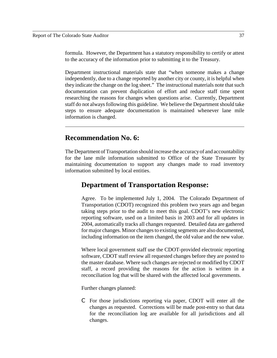formula. However, the Department has a statutory responsibility to certify or attest to the accuracy of the information prior to submitting it to the Treasury.

Department instructional materials state that "when someone makes a change independently, due to a change reported by another city or county, it is helpful when they indicate the change on the log sheet." The instructional materials note that such documentation can prevent duplication of effort and reduce staff time spent researching the reasons for changes when questions arise. Currently, Department staff do not always following this guideline. We believe the Department should take steps to ensure adequate documentation is maintained whenever lane mile information is changed.

#### **Recommendation No. 6:**

The Department of Transportation should increase the accuracy of and accountability for the lane mile information submitted to Office of the State Treasurer by maintaining documentation to support any changes made to road inventory information submitted by local entities.

### **Department of Transportation Response:**

Agree. To be implemented July 1, 2004. The Colorado Department of Transportation (CDOT) recognized this problem two years ago and began taking steps prior to the audit to meet this goal. CDOT's new electronic reporting software, used on a limited basis in 2003 and for all updates in 2004, automatically tracks all changes requested. Detailed data are gathered for major changes. Minor changes to existing segments are also documented, including information on the item changed, the old value and the new value.

Where local government staff use the CDOT-provided electronic reporting software, CDOT staff review all requested changes before they are posted to the master database. Where such changes are rejected or modified by CDOT staff, a record providing the reasons for the action is written in a reconciliation log that will be shared with the affected local governments.

Further changes planned:

C For those jurisdictions reporting via paper, CDOT will enter all the changes as requested. Corrections will be made post-entry so that data for the reconciliation log are available for all jurisdictions and all changes.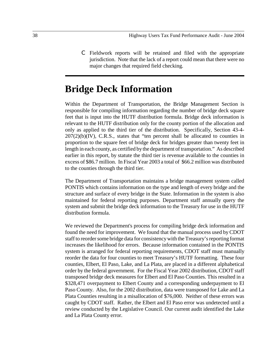C Fieldwork reports will be retained and filed with the appropriate jurisdiction. Note that the lack of a report could mean that there were no major changes that required field checking.

## **Bridge Deck Information**

Within the Department of Transportation, the Bridge Management Section is responsible for compiling information regarding the number of bridge deck square feet that is input into the HUTF distribution formula. Bridge deck information is relevant to the HUTF distribution only for the county portion of the allocation and only as applied to the third tier of the distribution. Specifically, Section 43-4-  $207(2)(b)(IV)$ , C.R.S., states that "ten percent shall be allocated to counties in proportion to the square feet of bridge deck for bridges greater than twenty feet in length in each county, as certified by the department of transportation." As described earlier in this report, by statute the third tier is revenue available to the counties in excess of \$86.7 million. In Fiscal Year 2003 a total of \$66.2 million was distributed to the counties through the third tier.

The Department of Transportation maintains a bridge management system called PONTIS which contains information on the type and length of every bridge and the structure and surface of every bridge in the State. Information in the system is also maintained for federal reporting purposes. Department staff annually query the system and submit the bridge deck information to the Treasury for use in the HUTF distribution formula.

We reviewed the Department's process for compiling bridge deck information and found the need for improvement. We found that the manual process used by CDOT staff to reorder some bridge data for consistency with the Treasury's reporting format increases the likelihood for errors. Because information contained in the PONTIS system is arranged for federal reporting requirements, CDOT staff must manually reorder the data for four counties to meet Treasury's HUTF formatting. These four counties, Elbert, El Paso, Lake, and La Plata, are placed in a different alphabetical order by the federal government. For the Fiscal Year 2002 distribution, CDOT staff transposed bridge deck measures for Elbert and El Paso Counties. This resulted in a \$328,471 overpayment to Elbert County and a corresponding underpayment to El Paso County. Also, for the 2002 distribution, data were transposed for Lake and La Plata Counties resulting in a misallocation of \$76,000. Neither of these errors was caught by CDOT staff. Rather, the Elbert and El Paso error was undetected until a review conducted by the Legislative Council. Our current audit identified the Lake and La Plata County error.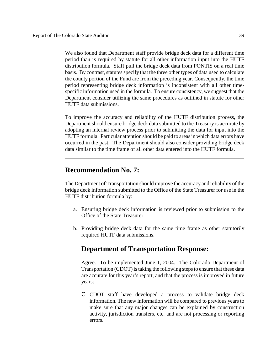We also found that Department staff provide bridge deck data for a different time period than is required by statute for all other information input into the HUTF distribution formula. Staff pull the bridge deck data from PONTIS on a real time basis. By contrast, statutes specify that the three other types of data used to calculate the county portion of the Fund are from the preceding year. Consequently, the time period representing bridge deck information is inconsistent with all other timespecific information used in the formula. To ensure consistency, we suggest that the Department consider utilizing the same procedures as outlined in statute for other HUTF data submissions.

To improve the accuracy and reliability of the HUTF distribution process, the Department should ensure bridge deck data submitted to the Treasury is accurate by adopting an internal review process prior to submitting the data for input into the HUTF formula. Particular attention should be paid to areas in which data errors have occurred in the past. The Department should also consider providing bridge deck data similar to the time frame of all other data entered into the HUTF formula.

### **Recommendation No. 7:**

The Department of Transportation should improve the accuracy and reliability of the bridge deck information submitted to the Office of the State Treasurer for use in the HUTF distribution formula by:

- a. Ensuring bridge deck information is reviewed prior to submission to the Office of the State Treasurer.
- b. Providing bridge deck data for the same time frame as other statutorily required HUTF data submissions.

## **Department of Transportation Response:**

Agree. To be implemented June 1, 2004. The Colorado Department of Transportation (CDOT) is taking the following steps to ensure that these data are accurate for this year's report, and that the process is improved in future years:

C CDOT staff have developed a process to validate bridge deck information. The new information will be compared to previous years to make sure that any major changes can be explained by construction activity, jurisdiction transfers, etc. and are not processing or reporting errors.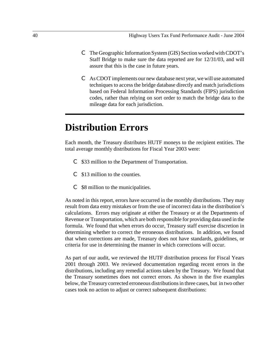- C The Geographic Information System (GIS) Section worked with CDOT's Staff Bridge to make sure the data reported are for 12/31/03, and will assure that this is the case in future years.
- C As CDOT implements our new database next year, we will use automated techniques to access the bridge database directly and match jurisdictions based on Federal Information Processing Standards (FIPS) jurisdiction codes, rather than relying on sort order to match the bridge data to the mileage data for each jurisdiction.

# **Distribution Errors**

Each month, the Treasury distributes HUTF moneys to the recipient entities. The total average monthly distributions for Fiscal Year 2003 were:

- C \$33 million to the Department of Transportation.
- C \$13 million to the counties.
- C \$8 million to the municipalities.

As noted in this report, errors have occurred in the monthly distributions. They may result from data entry mistakes or from the use of incorrect data in the distribution's calculations. Errors may originate at either the Treasury or at the Departments of Revenue or Transportation, which are both responsible for providing data used in the formula. We found that when errors do occur, Treasury staff exercise discretion in determining whether to correct the erroneous distributions. In addition, we found that when corrections are made, Treasury does not have standards, guidelines, or criteria for use in determining the manner in which corrections will occur.

As part of our audit, we reviewed the HUTF distribution process for Fiscal Years 2001 through 2003. We reviewed documentation regarding recent errors in the distributions, including any remedial actions taken by the Treasury. We found that the Treasury sometimes does not correct errors. As shown in the five examples below, the Treasury corrected erroneous distributions in three cases, but in two other cases took no action to adjust or correct subsequent distributions: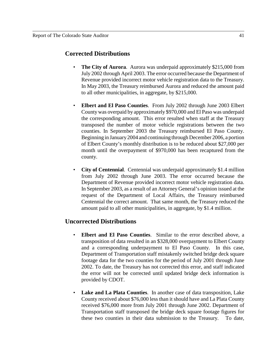#### **Corrected Distributions**

- **The City of Aurora**. Aurora was underpaid approximately \$215,000 from July 2002 through April 2003. The error occurred because the Department of Revenue provided incorrect motor vehicle registration data to the Treasury. In May 2003, the Treasury reimbursed Aurora and reduced the amount paid to all other municipalities, in aggregate, by \$215,000.
- **Elbert and El Paso Counties**. From July 2002 through June 2003 Elbert County was overpaid by approximately \$970,000 and El Paso was underpaid the corresponding amount. This error resulted when staff at the Treasury transposed the number of motor vehicle registrations between the two counties. In September 2003 the Treasury reimbursed El Paso County. Beginning in January 2004 and continuing through December 2006, a portion of Elbert County's monthly distribution is to be reduced about \$27,000 per month until the overpayment of \$970,000 has been recaptured from the county.
- **City of Centennial**. Centennial was underpaid approximately \$1.4 million from July 2002 through June 2003. The error occurred because the Department of Revenue provided incorrect motor vehicle registration data. In September 2003, as a result of an Attorney General's opinion issued at the request of the Department of Local Affairs, the Treasury reimbursed Centennial the correct amount. That same month, the Treasury reduced the amount paid to all other municipalities, in aggregate, by \$1.4 million.

#### **Uncorrected Distributions**

- **Elbert and El Paso Counties**. Similar to the error described above, a transposition of data resulted in an \$328,000 overpayment to Elbert County and a corresponding underpayment to El Paso County. In this case, Department of Transportation staff mistakenly switched bridge deck square footage data for the two counties for the period of July 2001 through June 2002. To date, the Treasury has not corrected this error, and staff indicated the error will not be corrected until updated bridge deck information is provided by CDOT.
- **Lake and La Plata Counties.** In another case of data transposition, Lake County received about \$76,000 less than it should have and La Plata County received \$76,000 more from July 2001 through June 2002. Department of Transportation staff transposed the bridge deck square footage figures for these two counties in their data submission to the Treasury. To date,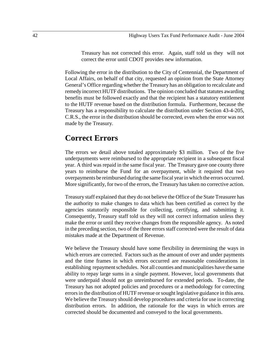Treasury has not corrected this error. Again, staff told us they will not correct the error until CDOT provides new information.

Following the error in the distribution to the City of Centennial, the Department of Local Affairs, on behalf of that city, requested an opinion from the State Attorney General's Office regarding whether the Treasury has an obligation to recalculate and remedy incorrect HUTF distributions. The opinion concluded that statutes awarding benefits must be followed exactly and that the recipient has a statutory entitlement to the HUTF revenue based on the distribution formula. Furthermore, because the Treasury has a responsibility to calculate the distribution under Section 43-4-205, C.R.S., the error in the distribution should be corrected, even when the error was not made by the Treasury.

## **Correct Errors**

The errors we detail above totaled approximately \$3 million. Two of the five underpayments were reimbursed to the appropriate recipient in a subsequent fiscal year. A third was repaid in the same fiscal year. The Treasury gave one county three years to reimburse the Fund for an overpayment, while it required that two overpayments be reimbursed during the same fiscal year in which the errors occurred. More significantly, for two of the errors, the Treasury has taken no corrective action.

Treasury staff explained that they do not believe the Office of the State Treasurer has the authority to make changes to data which has been certified as correct by the agencies statutorily responsible for collecting, certifying, and submitting it. Consequently, Treasury staff told us they will not correct information unless they make the error or until they receive changes from the responsible agency. As noted in the preceding section, two of the three errors staff corrected were the result of data mistakes made at the Department of Revenue.

We believe the Treasury should have some flexibility in determining the ways in which errors are corrected. Factors such as the amount of over and under payments and the time frames in which errors occurred are reasonable considerations in establishing repayment schedules. Not all counties and municipalities have the same ability to repay large sums in a single payment. However, local governments that were underpaid should not go unreimbursed for extended periods. To-date, the Treasury has not adopted policies and procedures or a methodology for correcting errors in the distribution of HUTF revenue or sought legislative guidance in this area. We believe the Treasury should develop procedures and criteria for use in correcting distribution errors. In addition, the rationale for the ways in which errors are corrected should be documented and conveyed to the local governments.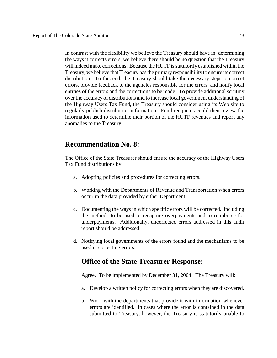In contrast with the flexibility we believe the Treasury should have in determining the ways it corrects errors, we believe there should be no question that the Treasury will indeed make corrections. Because the HUTF is statutorily established within the Treasury, we believe that Treasury has the primary responsibility to ensure its correct distribution. To this end, the Treasury should take the necessary steps to correct errors, provide feedback to the agencies responsible for the errors, and notify local entities of the errors and the corrections to be made. To provide additional scrutiny over the accuracy of distributions and to increase local government understanding of the Highway Users Tax Fund, the Treasury should consider using its Web site to regularly publish distribution information. Fund recipients could then review the information used to determine their portion of the HUTF revenues and report any anomalies to the Treasury.

## **Recommendation No. 8:**

The Office of the State Treasurer should ensure the accuracy of the Highway Users Tax Fund distributions by:

- a. Adopting policies and procedures for correcting errors.
- b. Working with the Departments of Revenue and Transportation when errors occur in the data provided by either Department.
- c. Documenting the ways in which specific errors will be corrected, including the methods to be used to recapture overpayments and to reimburse for underpayments. Additionally, uncorrected errors addressed in this audit report should be addressed.
- d. Notifying local governments of the errors found and the mechanisms to be used in correcting errors.

## **Office of the State Treasurer Response:**

Agree. To be implemented by December 31, 2004. The Treasury will:

- a. Develop a written policy for correcting errors when they are discovered.
- b. Work with the departments that provide it with information whenever errors are identified. In cases where the error is contained in the data submitted to Treasury, however, the Treasury is statutorily unable to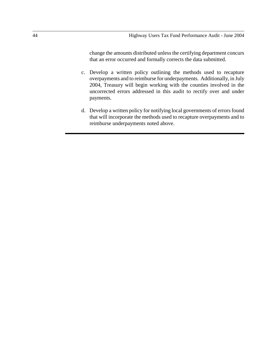change the amounts distributed unless the certifying department concurs that an error occurred and formally corrects the data submitted.

- c. Develop a written policy outlining the methods used to recapture overpayments and to reimburse for underpayments. Additionally, in July 2004, Treasury will begin working with the counties involved in the uncorrected errors addressed in this audit to rectify over and under payments.
- d. Develop a written policy for notifying local governments of errors found that will incorporate the methods used to recapture overpayments and to reimburse underpayments noted above.